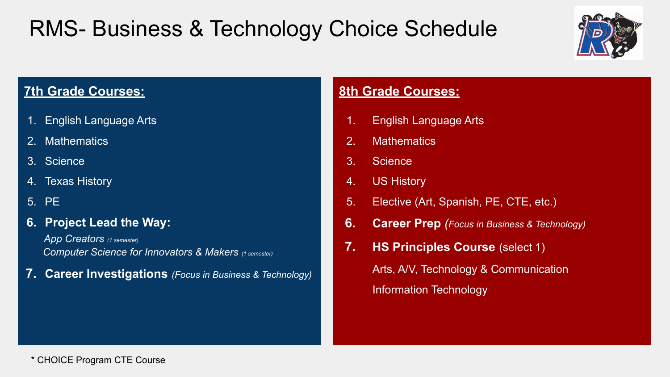# RMS- Business & Technology Choice Schedule



### **7th Grade Courses:**

- 1. English Language Arts
- 2. Mathematics
- 3. Science
- 4. Texas History
- 5. PE
- 6. Project Lead the Way:

App Creators (1 semester) Computer Science for Innovators & Makers (1 semester)

7. Career Investigations (Focus in Business & Technology)

- 1. English Language Arts
- 2. Mathematics
- 3. Science
- 4. US History
- 5. Elective (Art, Spanish, PE, CTE, etc.)
- **6.** Career Prep (Focus in Business & Technology)
- 7. HS Principles Course (select 1) Arts, A/V, Technology & Communication Information Technology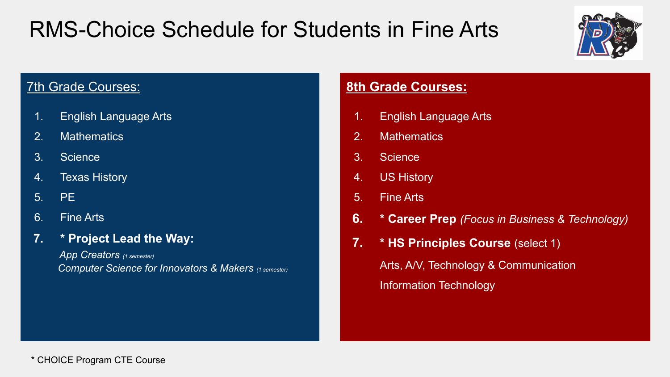# RMS-Choice Schedule for Students in Fine Arts



### **7th Grade Courses:**

- 1. English Language Arts
- 2. Mathematics
- 3. Science
- 4. Texas History
- 5. PE
- 6. Fine Arts
- 7. \* Project Lead the Way:

App Creators (1 semester) Computer Science for Innovators & Makers (1 semester)

- 1. English Language Arts
- 2. Mathematics
- 3. Science
- 4. US History
- 5. Fine Arts
- 6. \* Career Prep (Focus in Business & Technology)
- 7. \* HS Principles Course (select 1) Arts, A/V, Technology & Communication Information Technology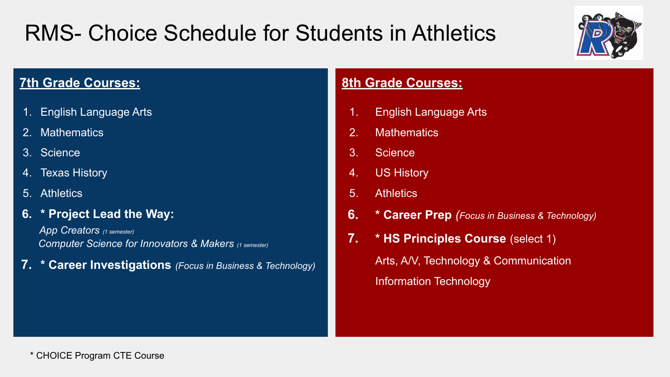# RMS- Choice Schedule for Students in Athletics



### **7th Grade Courses:**

- 1. English Language Arts
- 2. Mathematics
- 3. Science
- 4. Texas History
- 5. Athletics
- 6. \* Project Lead the Way:

App Creators (1 semester) Computer Science for Innovators & Makers (1 semester)

7. \* Career Investigations (Focus in Business & Technology)

- 1. English Language Arts
- 2. Mathematics
- 3. Science
- 4. US History
- 5. Athletics
- **6.** \* Career Prep (Focus in Business & Technology)
- 7. \* HS Principles Course (select 1) Arts, A/V, Technology & Communication Information Technology